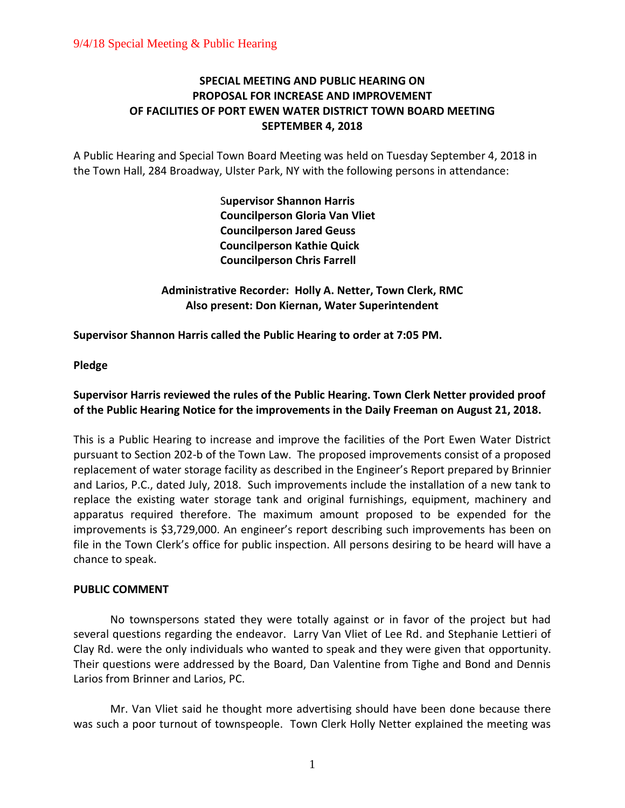# **SPECIAL MEETING AND PUBLIC HEARING ON PROPOSAL FOR INCREASE AND IMPROVEMENT OF FACILITIES OF PORT EWEN WATER DISTRICT TOWN BOARD MEETING SEPTEMBER 4, 2018**

A Public Hearing and Special Town Board Meeting was held on Tuesday September 4, 2018 in the Town Hall, 284 Broadway, Ulster Park, NY with the following persons in attendance:

> S**upervisor Shannon Harris Councilperson Gloria Van Vliet Councilperson Jared Geuss Councilperson Kathie Quick Councilperson Chris Farrell**

**Administrative Recorder: Holly A. Netter, Town Clerk, RMC Also present: Don Kiernan, Water Superintendent**

**Supervisor Shannon Harris called the Public Hearing to order at 7:05 PM.**

**Pledge**

# **Supervisor Harris reviewed the rules of the Public Hearing. Town Clerk Netter provided proof of the Public Hearing Notice for the improvements in the Daily Freeman on August 21, 2018.**

This is a Public Hearing to increase and improve the facilities of the Port Ewen Water District pursuant to Section 202-b of the Town Law. The proposed improvements consist of a proposed replacement of water storage facility as described in the Engineer's Report prepared by Brinnier and Larios, P.C., dated July, 2018. Such improvements include the installation of a new tank to replace the existing water storage tank and original furnishings, equipment, machinery and apparatus required therefore. The maximum amount proposed to be expended for the improvements is \$3,729,000. An engineer's report describing such improvements has been on file in the Town Clerk's office for public inspection. All persons desiring to be heard will have a chance to speak.

# **PUBLIC COMMENT**

No townspersons stated they were totally against or in favor of the project but had several questions regarding the endeavor. Larry Van Vliet of Lee Rd. and Stephanie Lettieri of Clay Rd. were the only individuals who wanted to speak and they were given that opportunity. Their questions were addressed by the Board, Dan Valentine from Tighe and Bond and Dennis Larios from Brinner and Larios, PC.

Mr. Van Vliet said he thought more advertising should have been done because there was such a poor turnout of townspeople. Town Clerk Holly Netter explained the meeting was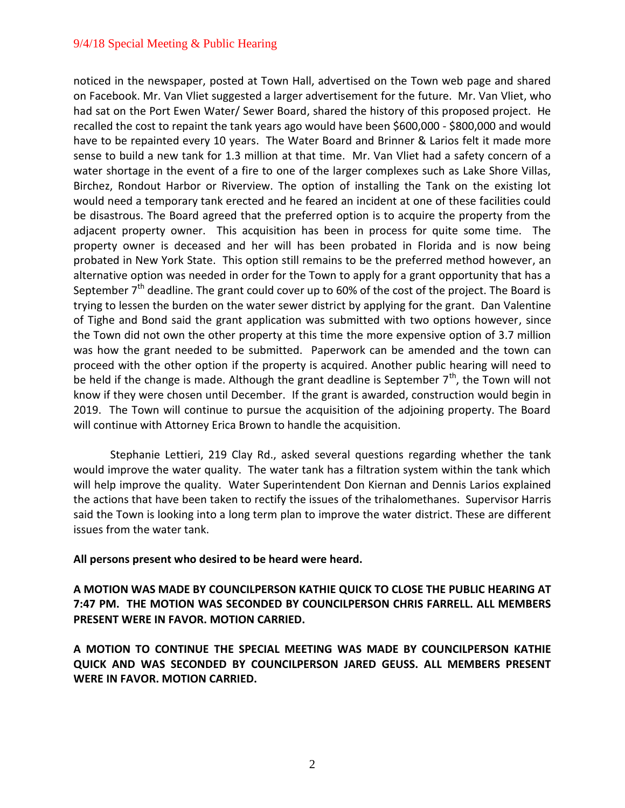noticed in the newspaper, posted at Town Hall, advertised on the Town web page and shared on Facebook. Mr. Van Vliet suggested a larger advertisement for the future. Mr. Van Vliet, who had sat on the Port Ewen Water/ Sewer Board, shared the history of this proposed project. He recalled the cost to repaint the tank years ago would have been \$600,000 - \$800,000 and would have to be repainted every 10 years. The Water Board and Brinner & Larios felt it made more sense to build a new tank for 1.3 million at that time. Mr. Van Vliet had a safety concern of a water shortage in the event of a fire to one of the larger complexes such as Lake Shore Villas, Birchez, Rondout Harbor or Riverview. The option of installing the Tank on the existing lot would need a temporary tank erected and he feared an incident at one of these facilities could be disastrous. The Board agreed that the preferred option is to acquire the property from the adjacent property owner. This acquisition has been in process for quite some time. The property owner is deceased and her will has been probated in Florida and is now being probated in New York State. This option still remains to be the preferred method however, an alternative option was needed in order for the Town to apply for a grant opportunity that has a September  $7<sup>th</sup>$  deadline. The grant could cover up to 60% of the cost of the project. The Board is trying to lessen the burden on the water sewer district by applying for the grant. Dan Valentine of Tighe and Bond said the grant application was submitted with two options however, since the Town did not own the other property at this time the more expensive option of 3.7 million was how the grant needed to be submitted. Paperwork can be amended and the town can proceed with the other option if the property is acquired. Another public hearing will need to be held if the change is made. Although the grant deadline is September  $7<sup>th</sup>$ , the Town will not know if they were chosen until December. If the grant is awarded, construction would begin in 2019. The Town will continue to pursue the acquisition of the adjoining property. The Board will continue with Attorney Erica Brown to handle the acquisition.

Stephanie Lettieri, 219 Clay Rd., asked several questions regarding whether the tank would improve the water quality. The water tank has a filtration system within the tank which will help improve the quality. Water Superintendent Don Kiernan and Dennis Larios explained the actions that have been taken to rectify the issues of the trihalomethanes. Supervisor Harris said the Town is looking into a long term plan to improve the water district. These are different issues from the water tank.

**All persons present who desired to be heard were heard.** 

**A MOTION WAS MADE BY COUNCILPERSON KATHIE QUICK TO CLOSE THE PUBLIC HEARING AT 7:47 PM. THE MOTION WAS SECONDED BY COUNCILPERSON CHRIS FARRELL. ALL MEMBERS PRESENT WERE IN FAVOR. MOTION CARRIED.** 

**A MOTION TO CONTINUE THE SPECIAL MEETING WAS MADE BY COUNCILPERSON KATHIE QUICK AND WAS SECONDED BY COUNCILPERSON JARED GEUSS. ALL MEMBERS PRESENT WERE IN FAVOR. MOTION CARRIED.**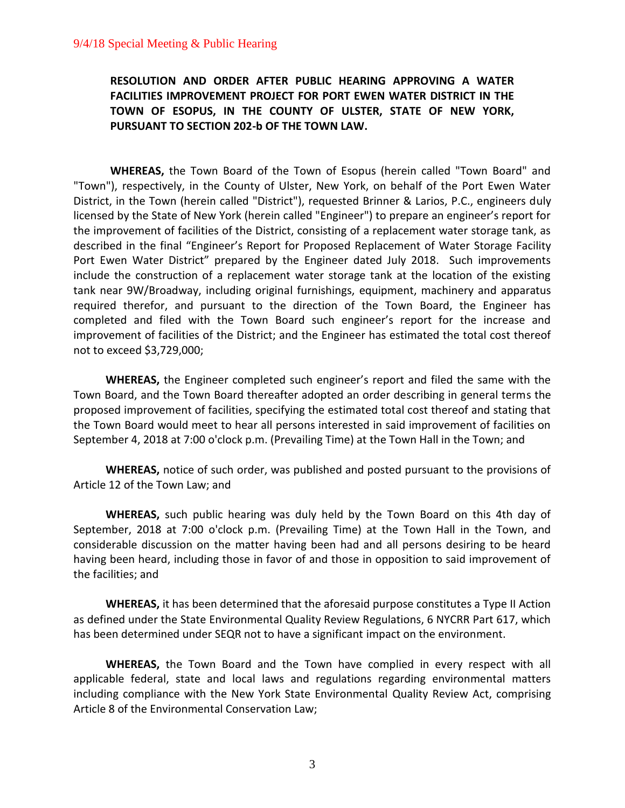**RESOLUTION AND ORDER AFTER PUBLIC HEARING APPROVING A WATER FACILITIES IMPROVEMENT PROJECT FOR PORT EWEN WATER DISTRICT IN THE TOWN OF ESOPUS, IN THE COUNTY OF ULSTER, STATE OF NEW YORK, PURSUANT TO SECTION 202-b OF THE TOWN LAW.**

**WHEREAS,** the Town Board of the Town of Esopus (herein called "Town Board" and "Town"), respectively, in the County of Ulster, New York, on behalf of the Port Ewen Water District, in the Town (herein called "District"), requested Brinner & Larios, P.C., engineers duly licensed by the State of New York (herein called "Engineer") to prepare an engineer's report for the improvement of facilities of the District, consisting of a replacement water storage tank, as described in the final "Engineer's Report for Proposed Replacement of Water Storage Facility Port Ewen Water District" prepared by the Engineer dated July 2018. Such improvements include the construction of a replacement water storage tank at the location of the existing tank near 9W/Broadway, including original furnishings, equipment, machinery and apparatus required therefor, and pursuant to the direction of the Town Board, the Engineer has completed and filed with the Town Board such engineer's report for the increase and improvement of facilities of the District; and the Engineer has estimated the total cost thereof not to exceed \$3,729,000;

**WHEREAS,** the Engineer completed such engineer's report and filed the same with the Town Board, and the Town Board thereafter adopted an order describing in general terms the proposed improvement of facilities, specifying the estimated total cost thereof and stating that the Town Board would meet to hear all persons interested in said improvement of facilities on September 4, 2018 at 7:00 o'clock p.m. (Prevailing Time) at the Town Hall in the Town; and

**WHEREAS,** notice of such order, was published and posted pursuant to the provisions of Article 12 of the Town Law; and

**WHEREAS,** such public hearing was duly held by the Town Board on this 4th day of September, 2018 at 7:00 o'clock p.m. (Prevailing Time) at the Town Hall in the Town, and considerable discussion on the matter having been had and all persons desiring to be heard having been heard, including those in favor of and those in opposition to said improvement of the facilities; and

**WHEREAS,** it has been determined that the aforesaid purpose constitutes a Type II Action as defined under the State Environmental Quality Review Regulations, 6 NYCRR Part 617, which has been determined under SEQR not to have a significant impact on the environment.

**WHEREAS,** the Town Board and the Town have complied in every respect with all applicable federal, state and local laws and regulations regarding environmental matters including compliance with the New York State Environmental Quality Review Act, comprising Article 8 of the Environmental Conservation Law;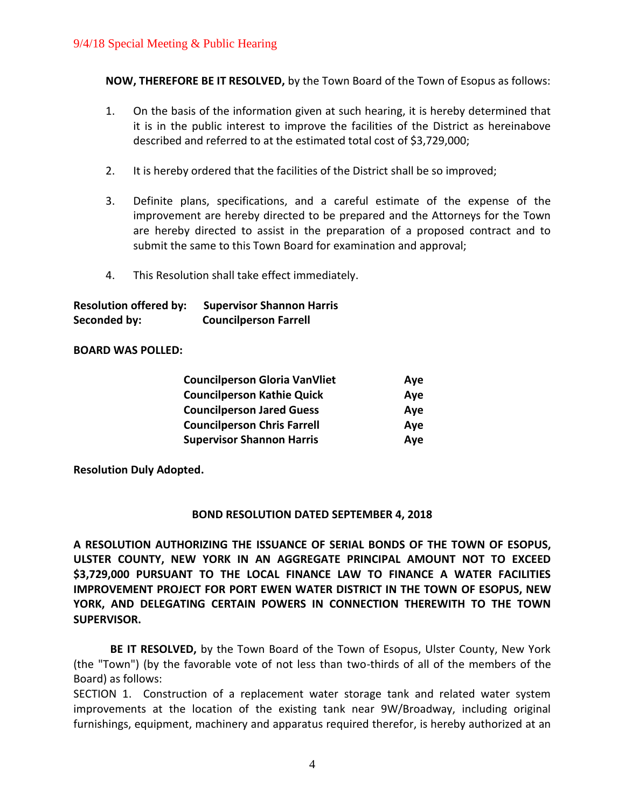**NOW, THEREFORE BE IT RESOLVED,** by the Town Board of the Town of Esopus as follows:

- 1. On the basis of the information given at such hearing, it is hereby determined that it is in the public interest to improve the facilities of the District as hereinabove described and referred to at the estimated total cost of \$3,729,000;
- 2. It is hereby ordered that the facilities of the District shall be so improved;
- 3. Definite plans, specifications, and a careful estimate of the expense of the improvement are hereby directed to be prepared and the Attorneys for the Town are hereby directed to assist in the preparation of a proposed contract and to submit the same to this Town Board for examination and approval;
- 4. This Resolution shall take effect immediately.

| <b>Resolution offered by:</b> | <b>Supervisor Shannon Harris</b> |
|-------------------------------|----------------------------------|
| Seconded by:                  | <b>Councilperson Farrell</b>     |

## **BOARD WAS POLLED:**

| <b>Councilperson Gloria VanVliet</b> | Aye |
|--------------------------------------|-----|
| <b>Councilperson Kathie Quick</b>    | Aye |
| <b>Councilperson Jared Guess</b>     | Aye |
| <b>Councilperson Chris Farrell</b>   | Aye |
| <b>Supervisor Shannon Harris</b>     | Aye |

**Resolution Duly Adopted.**

## **BOND RESOLUTION DATED SEPTEMBER 4, 2018**

**A RESOLUTION AUTHORIZING THE ISSUANCE OF SERIAL BONDS OF THE TOWN OF ESOPUS, ULSTER COUNTY, NEW YORK IN AN AGGREGATE PRINCIPAL AMOUNT NOT TO EXCEED \$3,729,000 PURSUANT TO THE LOCAL FINANCE LAW TO FINANCE A WATER FACILITIES IMPROVEMENT PROJECT FOR PORT EWEN WATER DISTRICT IN THE TOWN OF ESOPUS, NEW YORK, AND DELEGATING CERTAIN POWERS IN CONNECTION THEREWITH TO THE TOWN SUPERVISOR.**

**BE IT RESOLVED,** by the Town Board of the Town of Esopus, Ulster County, New York (the "Town") (by the favorable vote of not less than two-thirds of all of the members of the Board) as follows:

SECTION 1. Construction of a replacement water storage tank and related water system improvements at the location of the existing tank near 9W/Broadway, including original furnishings, equipment, machinery and apparatus required therefor, is hereby authorized at an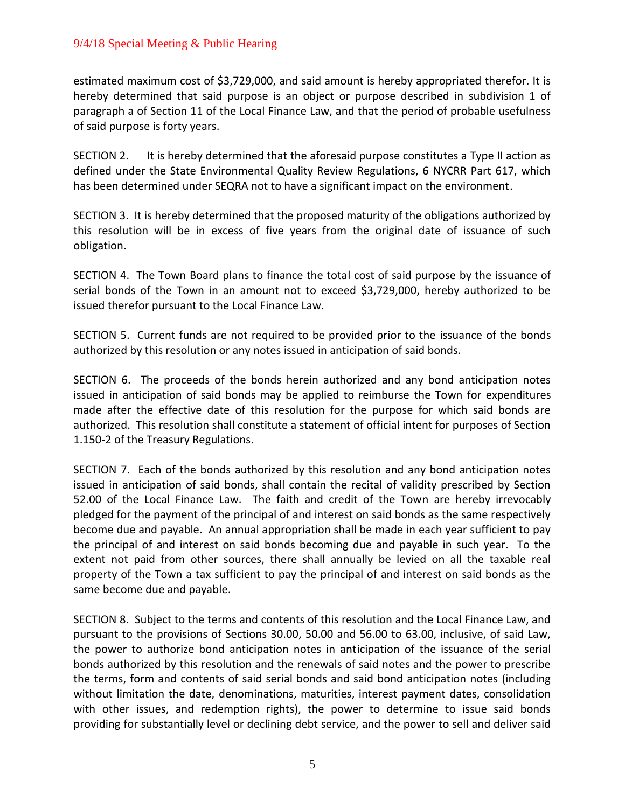estimated maximum cost of \$3,729,000, and said amount is hereby appropriated therefor. It is hereby determined that said purpose is an object or purpose described in subdivision 1 of paragraph a of Section 11 of the Local Finance Law, and that the period of probable usefulness of said purpose is forty years.

SECTION 2. It is hereby determined that the aforesaid purpose constitutes a Type II action as defined under the State Environmental Quality Review Regulations, 6 NYCRR Part 617, which has been determined under SEQRA not to have a significant impact on the environment.

SECTION 3. It is hereby determined that the proposed maturity of the obligations authorized by this resolution will be in excess of five years from the original date of issuance of such obligation.

SECTION 4. The Town Board plans to finance the total cost of said purpose by the issuance of serial bonds of the Town in an amount not to exceed \$3,729,000, hereby authorized to be issued therefor pursuant to the Local Finance Law.

SECTION 5. Current funds are not required to be provided prior to the issuance of the bonds authorized by this resolution or any notes issued in anticipation of said bonds.

SECTION 6. The proceeds of the bonds herein authorized and any bond anticipation notes issued in anticipation of said bonds may be applied to reimburse the Town for expenditures made after the effective date of this resolution for the purpose for which said bonds are authorized. This resolution shall constitute a statement of official intent for purposes of Section 1.150-2 of the Treasury Regulations.

SECTION 7. Each of the bonds authorized by this resolution and any bond anticipation notes issued in anticipation of said bonds, shall contain the recital of validity prescribed by Section 52.00 of the Local Finance Law. The faith and credit of the Town are hereby irrevocably pledged for the payment of the principal of and interest on said bonds as the same respectively become due and payable. An annual appropriation shall be made in each year sufficient to pay the principal of and interest on said bonds becoming due and payable in such year. To the extent not paid from other sources, there shall annually be levied on all the taxable real property of the Town a tax sufficient to pay the principal of and interest on said bonds as the same become due and payable.

SECTION 8. Subject to the terms and contents of this resolution and the Local Finance Law, and pursuant to the provisions of Sections 30.00, 50.00 and 56.00 to 63.00, inclusive, of said Law, the power to authorize bond anticipation notes in anticipation of the issuance of the serial bonds authorized by this resolution and the renewals of said notes and the power to prescribe the terms, form and contents of said serial bonds and said bond anticipation notes (including without limitation the date, denominations, maturities, interest payment dates, consolidation with other issues, and redemption rights), the power to determine to issue said bonds providing for substantially level or declining debt service, and the power to sell and deliver said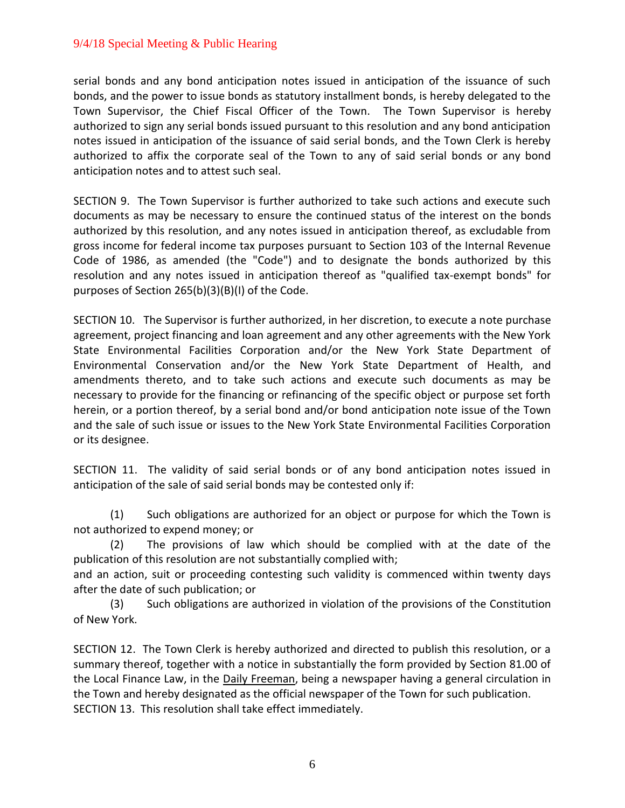serial bonds and any bond anticipation notes issued in anticipation of the issuance of such bonds, and the power to issue bonds as statutory installment bonds, is hereby delegated to the Town Supervisor, the Chief Fiscal Officer of the Town. The Town Supervisor is hereby authorized to sign any serial bonds issued pursuant to this resolution and any bond anticipation notes issued in anticipation of the issuance of said serial bonds, and the Town Clerk is hereby authorized to affix the corporate seal of the Town to any of said serial bonds or any bond anticipation notes and to attest such seal.

SECTION 9. The Town Supervisor is further authorized to take such actions and execute such documents as may be necessary to ensure the continued status of the interest on the bonds authorized by this resolution, and any notes issued in anticipation thereof, as excludable from gross income for federal income tax purposes pursuant to Section 103 of the Internal Revenue Code of 1986, as amended (the "Code") and to designate the bonds authorized by this resolution and any notes issued in anticipation thereof as "qualified tax-exempt bonds" for purposes of Section 265(b)(3)(B)(I) of the Code.

SECTION 10. The Supervisor is further authorized, in her discretion, to execute a note purchase agreement, project financing and loan agreement and any other agreements with the New York State Environmental Facilities Corporation and/or the New York State Department of Environmental Conservation and/or the New York State Department of Health, and amendments thereto, and to take such actions and execute such documents as may be necessary to provide for the financing or refinancing of the specific object or purpose set forth herein, or a portion thereof, by a serial bond and/or bond anticipation note issue of the Town and the sale of such issue or issues to the New York State Environmental Facilities Corporation or its designee.

SECTION 11. The validity of said serial bonds or of any bond anticipation notes issued in anticipation of the sale of said serial bonds may be contested only if:

(1) Such obligations are authorized for an object or purpose for which the Town is not authorized to expend money; or

(2) The provisions of law which should be complied with at the date of the publication of this resolution are not substantially complied with;

and an action, suit or proceeding contesting such validity is commenced within twenty days after the date of such publication; or

(3) Such obligations are authorized in violation of the provisions of the Constitution of New York.

SECTION 12. The Town Clerk is hereby authorized and directed to publish this resolution, or a summary thereof, together with a notice in substantially the form provided by Section 81.00 of the Local Finance Law, in the Daily Freeman, being a newspaper having a general circulation in the Town and hereby designated as the official newspaper of the Town for such publication. SECTION 13. This resolution shall take effect immediately.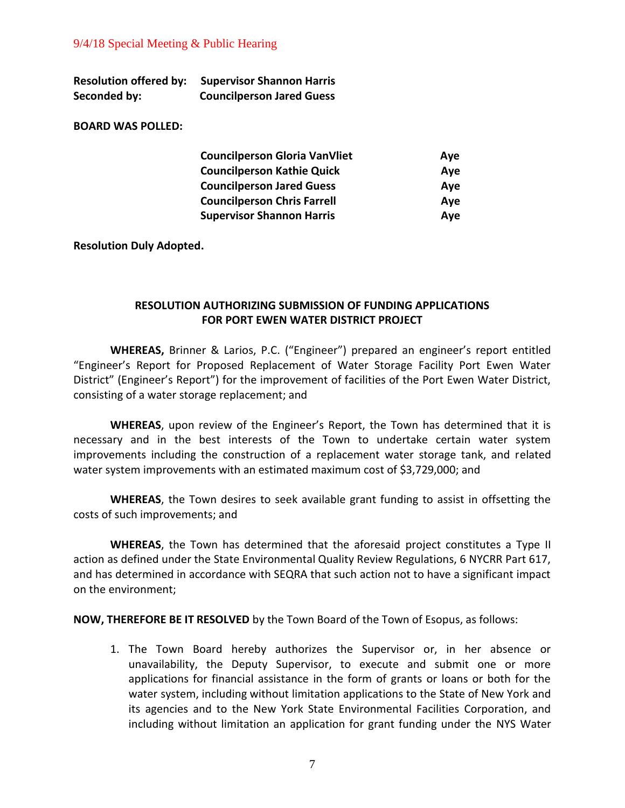| <b>Resolution offered by:</b> | <b>Supervisor Shannon Harris</b> |
|-------------------------------|----------------------------------|
| Seconded by:                  | <b>Councilperson Jared Guess</b> |

#### **BOARD WAS POLLED:**

| <b>Councilperson Gloria VanVliet</b> | Aye |
|--------------------------------------|-----|
| <b>Councilperson Kathie Quick</b>    | Aye |
| <b>Councilperson Jared Guess</b>     | Aye |
| <b>Councilperson Chris Farrell</b>   | Aye |
| <b>Supervisor Shannon Harris</b>     | Aye |

#### **Resolution Duly Adopted.**

## **RESOLUTION AUTHORIZING SUBMISSION OF FUNDING APPLICATIONS FOR PORT EWEN WATER DISTRICT PROJECT**

**WHEREAS,** Brinner & Larios, P.C. ("Engineer") prepared an engineer's report entitled "Engineer's Report for Proposed Replacement of Water Storage Facility Port Ewen Water District" (Engineer's Report") for the improvement of facilities of the Port Ewen Water District, consisting of a water storage replacement; and

**WHEREAS**, upon review of the Engineer's Report, the Town has determined that it is necessary and in the best interests of the Town to undertake certain water system improvements including the construction of a replacement water storage tank, and related water system improvements with an estimated maximum cost of \$3,729,000; and

**WHEREAS**, the Town desires to seek available grant funding to assist in offsetting the costs of such improvements; and

**WHEREAS**, the Town has determined that the aforesaid project constitutes a Type II action as defined under the State Environmental Quality Review Regulations, 6 NYCRR Part 617, and has determined in accordance with SEQRA that such action not to have a significant impact on the environment;

**NOW, THEREFORE BE IT RESOLVED** by the Town Board of the Town of Esopus, as follows:

1. The Town Board hereby authorizes the Supervisor or, in her absence or unavailability, the Deputy Supervisor, to execute and submit one or more applications for financial assistance in the form of grants or loans or both for the water system, including without limitation applications to the State of New York and its agencies and to the New York State Environmental Facilities Corporation, and including without limitation an application for grant funding under the NYS Water